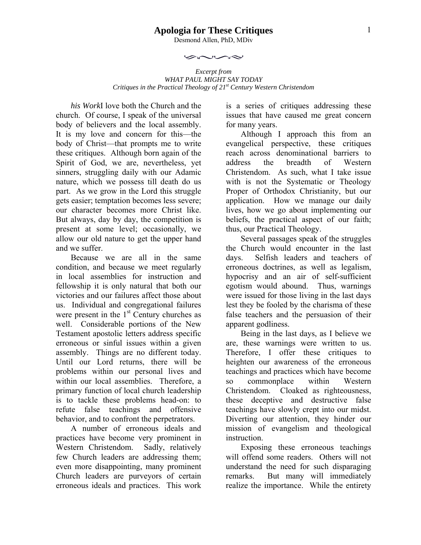### **Apologia for These Critiques**

Desmond Allen, PhD, MDiv

بحصن

*Excerpt from WHAT PAUL MIGHT SAY TODAY Critiques in the Practical Theology of 21st Century Western Christendom* 

*his Work*I love both the Church and the church. Of course, I speak of the universal body of believers and the local assembly. It is my love and concern for this—the body of Christ—that prompts me to write these critiques. Although born again of the Spirit of God, we are, nevertheless, yet sinners, struggling daily with our Adamic nature, which we possess till death do us part. As we grow in the Lord this struggle gets easier; temptation becomes less severe; our character becomes more Christ like. But always, day by day, the competition is present at some level; occasionally, we allow our old nature to get the upper hand and we suffer.

Because we are all in the same condition, and because we meet regularly in local assemblies for instruction and fellowship it is only natural that both our victories and our failures affect those about us. Individual and congregational failures were present in the  $1<sup>st</sup>$  Century churches as well. Considerable portions of the New Testament apostolic letters address specific erroneous or sinful issues within a given assembly. Things are no different today. Until our Lord returns, there will be problems within our personal lives and within our local assemblies. Therefore, a primary function of local church leadership is to tackle these problems head-on: to refute false teachings and offensive behavior, and to confront the perpetrators.

A number of erroneous ideals and practices have become very prominent in Western Christendom. Sadly, relatively few Church leaders are addressing them; even more disappointing, many prominent Church leaders are purveyors of certain erroneous ideals and practices. This work is a series of critiques addressing these issues that have caused me great concern for many years.

Although I approach this from an evangelical perspective, these critiques reach across denominational barriers to address the breadth of Western Christendom. As such, what I take issue with is not the Systematic or Theology Proper of Orthodox Christianity, but our application. How we manage our daily lives, how we go about implementing our beliefs, the practical aspect of our faith; thus, our Practical Theology.

Several passages speak of the struggles the Church would encounter in the last days. Selfish leaders and teachers of erroneous doctrines, as well as legalism, hypocrisy and an air of self-sufficient egotism would abound. Thus, warnings were issued for those living in the last days lest they be fooled by the charisma of these false teachers and the persuasion of their apparent godliness.

Being in the last days, as I believe we are, these warnings were written to us. Therefore, I offer these critiques to heighten our awareness of the erroneous teachings and practices which have become so commonplace within Western Christendom. Cloaked as righteousness, these deceptive and destructive false teachings have slowly crept into our midst. Diverting our attention, they hinder our mission of evangelism and theological instruction.

Exposing these erroneous teachings will offend some readers. Others will not understand the need for such disparaging remarks. But many will immediately realize the importance. While the entirety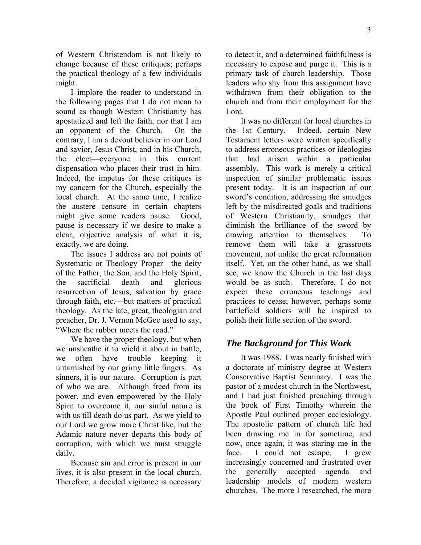of Western Christendom is not likely to change because of these critiques; perhaps the practical theology of a few individuals might.

I implore the reader to understand in the following pages that I do not mean to sound as though Western Christianity has apostatized and left the faith, nor that I am an opponent of the Church. On the contrary, I am a devout believer in our Lord and savior, Jesus Christ, and in his Church, the elect—everyone in this current dispensation who places their trust in him. Indeed, the impetus for these critiques is my concern for the Church, especially the local church. At the same time, I realize the austere censure in certain chapters might give some readers pause. Good, pause is necessary if we desire to make a clear, objective analysis of what it is, exactly, we are doing.

The issues I address are not points of Systematic or Theology Proper—the deity of the Father, the Son, and the Holy Spirit, the sacrificial death and glorious resurrection of Jesus, salvation by grace through faith, etc.—but matters of practical theology. As the late, great, theologian and preacher, Dr. J. Vernon McGee used to say, "Where the rubber meets the road."

We have the proper theology, but when we unsheathe it to wield it about in battle, we often have trouble keeping it untarnished by our grimy little fingers. As sinners, it is our nature. Corruption is part of who we are. Although freed from its power, and even empowered by the Holy Spirit to overcome it, our sinful nature is with us till death do us part. As we yield to our Lord we grow more Christ like, but the Adamic nature never departs this body of corruption, with which we must struggle daily.

Because sin and error is present in our lives, it is also present in the local church. Therefore, a decided vigilance is necessary to detect it, and a determined faithfulness is necessary to expose and purge it. This is a primary task of church leadership. Those leaders who shy from this assignment have withdrawn from their obligation to the church and from their employment for the Lord.

It was no different for local churches in the 1st Century. Indeed, certain New Testament letters were written specifically to address erroneous practices or ideologies that had arisen within a particular assembly. This work is merely a critical inspection of similar problematic issues present today. It is an inspection of our sword's condition, addressing the smudges left by the misdirected goals and traditions of Western Christianity, smudges that diminish the brilliance of the sword by drawing attention to themselves. To remove them will take a grassroots movement, not unlike the great reformation itself. Yet, on the other hand, as we shall see, we know the Church in the last days would be as such. Therefore, I do not expect these erroneous teachings and practices to cease; however, perhaps some battlefield soldiers will be inspired to polish their little section of the sword.

# *The Background for This Work*

It was 1988. I was nearly finished with a doctorate of ministry degree at Western Conservative Baptist Seminary. I was the pastor of a modest church in the Northwest, and I had just finished preaching through the book of First Timothy wherein the Apostle Paul outlined proper ecclesiology. The apostolic pattern of church life had been drawing me in for sometime, and now, once again, it was staring me in the face. I could not escape. I grew increasingly concerned and frustrated over the generally accepted agenda and leadership models of modern western churches. The more I researched, the more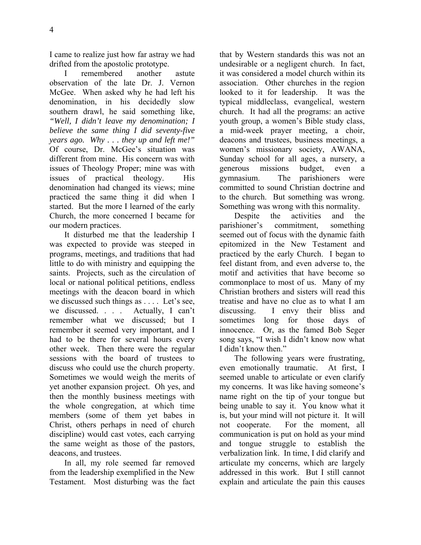I came to realize just how far astray we had drifted from the apostolic prototype.

I remembered another astute observation of the late Dr. J. Vernon McGee. When asked why he had left his denomination, in his decidedly slow southern drawl, he said something like, *"Well, I didn't leave my denomination; I believe the same thing I did seventy-five years ago. Why . . . they up and left me!"* Of course, Dr. McGee's situation was different from mine. His concern was with issues of Theology Proper; mine was with issues of practical theology. His denomination had changed its views; mine practiced the same thing it did when I started. But the more I learned of the early Church, the more concerned I became for our modern practices.

It disturbed me that the leadership I was expected to provide was steeped in programs, meetings, and traditions that had little to do with ministry and equipping the saints. Projects, such as the circulation of local or national political petitions, endless meetings with the deacon board in which we discussed such things as . . . . Let's see, we discussed. . . . Actually, I can't remember what we discussed; but I remember it seemed very important, and I had to be there for several hours every other week. Then there were the regular sessions with the board of trustees to discuss who could use the church property. Sometimes we would weigh the merits of yet another expansion project. Oh yes, and then the monthly business meetings with the whole congregation, at which time members (some of them yet babes in Christ, others perhaps in need of church discipline) would cast votes, each carrying the same weight as those of the pastors, deacons, and trustees.

In all, my role seemed far removed from the leadership exemplified in the New Testament. Most disturbing was the fact

that by Western standards this was not an undesirable or a negligent church. In fact, it was considered a model church within its association. Other churches in the region looked to it for leadership. It was the typical middleclass, evangelical, western church. It had all the programs: an active youth group, a women's Bible study class, a mid-week prayer meeting, a choir, deacons and trustees, business meetings, a women's missionary society, AWANA, Sunday school for all ages, a nursery, a generous missions budget, even a gymnasium. The parishioners were committed to sound Christian doctrine and to the church. But something was wrong. Something was wrong with this normality.

Despite the activities and the parishioner's commitment, something seemed out of focus with the dynamic faith epitomized in the New Testament and practiced by the early Church. I began to feel distant from, and even adverse to, the motif and activities that have become so commonplace to most of us. Many of my Christian brothers and sisters will read this treatise and have no clue as to what I am discussing. I envy their bliss and sometimes long for those days of innocence. Or, as the famed Bob Seger song says, "I wish I didn't know now what I didn't know then."

The following years were frustrating, even emotionally traumatic. At first, I seemed unable to articulate or even clarify my concerns. It was like having someone's name right on the tip of your tongue but being unable to say it. You know what it is, but your mind will not picture it. It will not cooperate. For the moment, all communication is put on hold as your mind and tongue struggle to establish the verbalization link. In time, I did clarify and articulate my concerns, which are largely addressed in this work. But I still cannot explain and articulate the pain this causes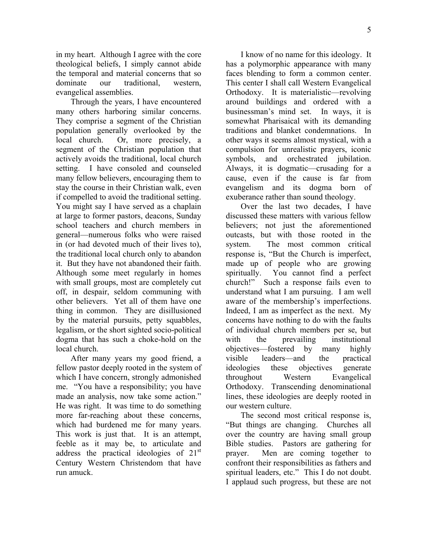in my heart. Although I agree with the core theological beliefs, I simply cannot abide the temporal and material concerns that so dominate our traditional, western, evangelical assemblies.

Through the years, I have encountered many others harboring similar concerns. They comprise a segment of the Christian population generally overlooked by the local church. Or, more precisely, a segment of the Christian population that actively avoids the traditional, local church setting. I have consoled and counseled many fellow believers, encouraging them to stay the course in their Christian walk, even if compelled to avoid the traditional setting. You might say I have served as a chaplain at large to former pastors, deacons, Sunday school teachers and church members in general—numerous folks who were raised in (or had devoted much of their lives to), the traditional local church only to abandon it. But they have not abandoned their faith. Although some meet regularly in homes with small groups, most are completely cut off, in despair, seldom communing with other believers. Yet all of them have one thing in common. They are disillusioned by the material pursuits, petty squabbles, legalism, or the short sighted socio-political dogma that has such a choke-hold on the local church.

After many years my good friend, a fellow pastor deeply rooted in the system of which I have concern, strongly admonished me. "You have a responsibility; you have made an analysis, now take some action." He was right. It was time to do something more far-reaching about these concerns, which had burdened me for many years. This work is just that. It is an attempt, feeble as it may be, to articulate and address the practical ideologies of  $21<sup>st</sup>$ Century Western Christendom that have run amuck.

I know of no name for this ideology. It has a polymorphic appearance with many faces blending to form a common center. This center I shall call Western Evangelical Orthodoxy. It is materialistic—revolving around buildings and ordered with a businessman's mind set. In ways, it is somewhat Pharisaical with its demanding traditions and blanket condemnations. In other ways it seems almost mystical, with a compulsion for unrealistic prayers, iconic symbols, and orchestrated jubilation. Always, it is dogmatic—crusading for a cause, even if the cause is far from evangelism and its dogma born of exuberance rather than sound theology.

Over the last two decades, I have discussed these matters with various fellow believers; not just the aforementioned outcasts, but with those rooted in the system. The most common critical response is, "But the Church is imperfect, made up of people who are growing spiritually. You cannot find a perfect church!" Such a response fails even to understand what I am pursuing. I am well aware of the membership's imperfections. Indeed, I am as imperfect as the next. My concerns have nothing to do with the faults of individual church members per se, but with the prevailing institutional objectives—fostered by many highly visible leaders—and the practical ideologies these objectives generate throughout Western Evangelical Orthodoxy. Transcending denominational lines, these ideologies are deeply rooted in our western culture.

The second most critical response is, "But things are changing. Churches all over the country are having small group Bible studies. Pastors are gathering for prayer. Men are coming together to confront their responsibilities as fathers and spiritual leaders, etc." This I do not doubt. I applaud such progress, but these are not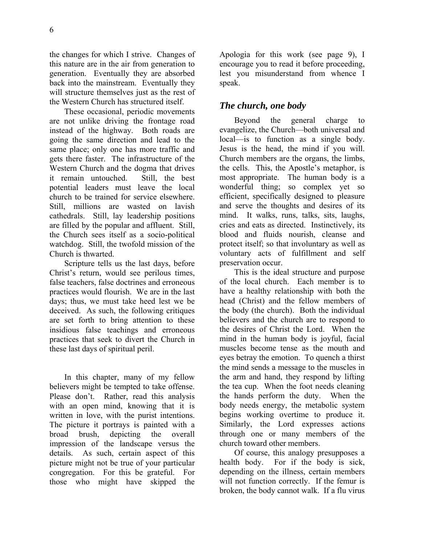the changes for which I strive. Changes of this nature are in the air from generation to generation. Eventually they are absorbed back into the mainstream. Eventually they will structure themselves just as the rest of the Western Church has structured itself.

These occasional, periodic movements are not unlike driving the frontage road instead of the highway. Both roads are going the same direction and lead to the same place; only one has more traffic and gets there faster. The infrastructure of the Western Church and the dogma that drives it remain untouched. Still, the best potential leaders must leave the local church to be trained for service elsewhere. Still, millions are wasted on lavish cathedrals. Still, lay leadership positions are filled by the popular and affluent. Still, the Church sees itself as a socio-political watchdog. Still, the twofold mission of the Church is thwarted.

Scripture tells us the last days, before Christ's return, would see perilous times, false teachers, false doctrines and erroneous practices would flourish. We are in the last days; thus, we must take heed lest we be deceived. As such, the following critiques are set forth to bring attention to these insidious false teachings and erroneous practices that seek to divert the Church in these last days of spiritual peril.

In this chapter, many of my fellow believers might be tempted to take offense. Please don't. Rather, read this analysis with an open mind, knowing that it is written in love, with the purist intentions. The picture it portrays is painted with a broad brush, depicting the overall impression of the landscape versus the details. As such, certain aspect of this picture might not be true of your particular congregation. For this be grateful. For those who might have skipped the Apologia for this work (see page 9), I encourage you to read it before proceeding, lest you misunderstand from whence I speak.

## *The church, one body*

Beyond the general charge to evangelize, the Church—both universal and local—is to function as a single body. Jesus is the head, the mind if you will. Church members are the organs, the limbs, the cells. This, the Apostle's metaphor, is most appropriate. The human body is a wonderful thing; so complex yet so efficient, specifically designed to pleasure and serve the thoughts and desires of its mind. It walks, runs, talks, sits, laughs, cries and eats as directed. Instinctively, its blood and fluids nourish, cleanse and protect itself; so that involuntary as well as voluntary acts of fulfillment and self preservation occur.

This is the ideal structure and purpose of the local church. Each member is to have a healthy relationship with both the head (Christ) and the fellow members of the body (the church). Both the individual believers and the church are to respond to the desires of Christ the Lord. When the mind in the human body is joyful, facial muscles become tense as the mouth and eyes betray the emotion. To quench a thirst the mind sends a message to the muscles in the arm and hand, they respond by lifting the tea cup. When the foot needs cleaning the hands perform the duty. When the body needs energy, the metabolic system begins working overtime to produce it. Similarly, the Lord expresses actions through one or many members of the church toward other members.

Of course, this analogy presupposes a health body. For if the body is sick, depending on the illness, certain members will not function correctly. If the femur is broken, the body cannot walk. If a flu virus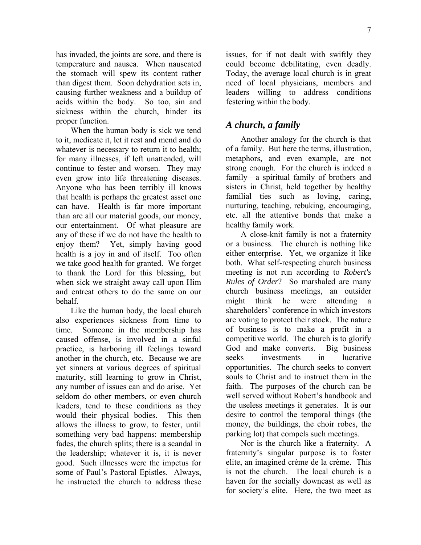has invaded, the joints are sore, and there is temperature and nausea. When nauseated the stomach will spew its content rather than digest them. Soon dehydration sets in, causing further weakness and a buildup of acids within the body. So too, sin and sickness within the church, hinder its proper function.

When the human body is sick we tend to it, medicate it, let it rest and mend and do whatever is necessary to return it to health; for many illnesses, if left unattended, will continue to fester and worsen. They may even grow into life threatening diseases. Anyone who has been terribly ill knows that health is perhaps the greatest asset one can have. Health is far more important than are all our material goods, our money, our entertainment. Of what pleasure are any of these if we do not have the health to enjoy them? Yet, simply having good health is a joy in and of itself. Too often we take good health for granted. We forget to thank the Lord for this blessing, but when sick we straight away call upon Him and entreat others to do the same on our behalf.

Like the human body, the local church also experiences sickness from time to time. Someone in the membership has caused offense, is involved in a sinful practice, is harboring ill feelings toward another in the church, etc. Because we are yet sinners at various degrees of spiritual maturity, still learning to grow in Christ, any number of issues can and do arise. Yet seldom do other members, or even church leaders, tend to these conditions as they would their physical bodies. This then allows the illness to grow, to fester, until something very bad happens: membership fades, the church splits; there is a scandal in the leadership; whatever it is, it is never good. Such illnesses were the impetus for some of Paul's Pastoral Epistles. Always, he instructed the church to address these issues, for if not dealt with swiftly they could become debilitating, even deadly. Today, the average local church is in great need of local physicians, members and leaders willing to address conditions festering within the body.

## *A church, a family*

Another analogy for the church is that of a family. But here the terms, illustration, metaphors, and even example, are not strong enough. For the church is indeed a family—a spiritual family of brothers and sisters in Christ, held together by healthy familial ties such as loving, caring, nurturing, teaching, rebuking, encouraging, etc. all the attentive bonds that make a healthy family work.

A close-knit family is not a fraternity or a business. The church is nothing like either enterprise. Yet, we organize it like both. What self-respecting church business meeting is not run according to *Robert's Rules of Order*? So marshaled are many church business meetings, an outsider might think he were attending a shareholders' conference in which investors are voting to protect their stock. The nature of business is to make a profit in a competitive world. The church is to glorify God and make converts. Big business seeks investments in lucrative opportunities. The church seeks to convert souls to Christ and to instruct them in the faith. The purposes of the church can be well served without Robert's handbook and the useless meetings it generates. It is our desire to control the temporal things (the money, the buildings, the choir robes, the parking lot) that compels such meetings.

Nor is the church like a fraternity. A fraternity's singular purpose is to foster elite, an imagined crème de la crème. This is not the church. The local church is a haven for the socially downcast as well as for society's elite. Here, the two meet as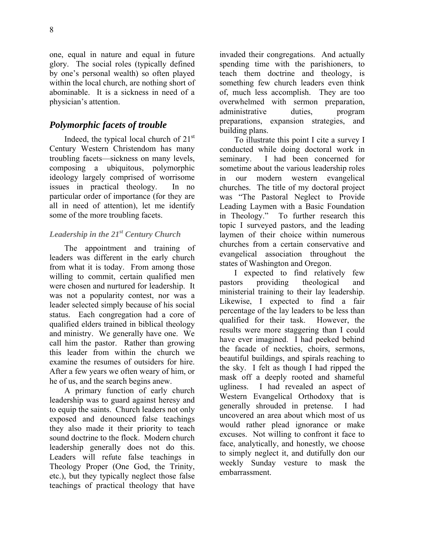one, equal in nature and equal in future glory. The social roles (typically defined by one's personal wealth) so often played within the local church, are nothing short of abominable. It is a sickness in need of a physician's attention.

# *Polymorphic facets of trouble*

Indeed, the typical local church of  $21<sup>st</sup>$ Century Western Christendom has many troubling facets—sickness on many levels, composing a ubiquitous, polymorphic ideology largely comprised of worrisome issues in practical theology. In no particular order of importance (for they are all in need of attention), let me identify some of the more troubling facets.

### *Leadership in the 21st Century Church*

The appointment and training of leaders was different in the early church from what it is today. From among those willing to commit, certain qualified men were chosen and nurtured for leadership. It was not a popularity contest, nor was a leader selected simply because of his social status. Each congregation had a core of qualified elders trained in biblical theology and ministry. We generally have one. We call him the pastor. Rather than growing this leader from within the church we examine the resumes of outsiders for hire. After a few years we often weary of him, or he of us, and the search begins anew.

A primary function of early church leadership was to guard against heresy and to equip the saints. Church leaders not only exposed and denounced false teachings they also made it their priority to teach sound doctrine to the flock. Modern church leadership generally does not do this. Leaders will refute false teachings in Theology Proper (One God, the Trinity, etc.), but they typically neglect those false teachings of practical theology that have invaded their congregations. And actually spending time with the parishioners, to teach them doctrine and theology, is something few church leaders even think of, much less accomplish. They are too overwhelmed with sermon preparation, administrative duties, program preparations, expansion strategies, and building plans.

To illustrate this point I cite a survey I conducted while doing doctoral work in seminary. I had been concerned for sometime about the various leadership roles in our modern western evangelical churches. The title of my doctoral project was "The Pastoral Neglect to Provide Leading Laymen with a Basic Foundation in Theology." To further research this topic I surveyed pastors, and the leading laymen of their choice within numerous churches from a certain conservative and evangelical association throughout the states of Washington and Oregon.

I expected to find relatively few pastors providing theological and ministerial training to their lay leadership. Likewise, I expected to find a fair percentage of the lay leaders to be less than qualified for their task. However, the results were more staggering than I could have ever imagined. I had peeked behind the facade of neckties, choirs, sermons, beautiful buildings, and spirals reaching to the sky. I felt as though I had ripped the mask off a deeply rooted and shameful ugliness. I had revealed an aspect of Western Evangelical Orthodoxy that is generally shrouded in pretense. I had uncovered an area about which most of us would rather plead ignorance or make excuses. Not willing to confront it face to face, analytically, and honestly, we choose to simply neglect it, and dutifully don our weekly Sunday vesture to mask the embarrassment.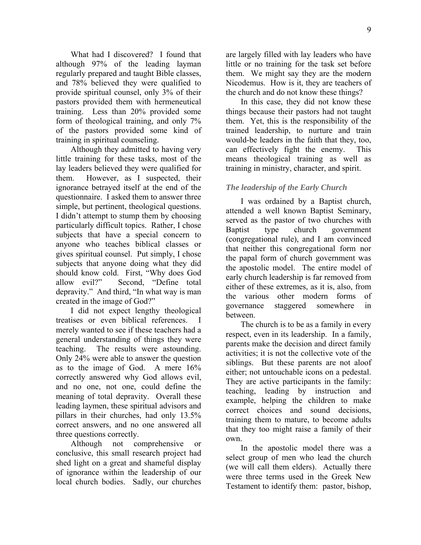What had I discovered? I found that although 97% of the leading layman regularly prepared and taught Bible classes, and 78% believed they were qualified to provide spiritual counsel, only 3% of their pastors provided them with hermeneutical training. Less than 20% provided some form of theological training, and only 7% of the pastors provided some kind of training in spiritual counseling.

Although they admitted to having very little training for these tasks, most of the lay leaders believed they were qualified for them. However, as I suspected, their ignorance betrayed itself at the end of the questionnaire. I asked them to answer three simple, but pertinent, theological questions. I didn't attempt to stump them by choosing particularly difficult topics. Rather, I chose subjects that have a special concern to anyone who teaches biblical classes or gives spiritual counsel. Put simply, I chose subjects that anyone doing what they did should know cold. First, "Why does God allow evil?" Second, "Define total depravity." And third, "In what way is man created in the image of God?"

I did not expect lengthy theological treatises or even biblical references. I merely wanted to see if these teachers had a general understanding of things they were teaching. The results were astounding. Only 24% were able to answer the question as to the image of God. A mere 16% correctly answered why God allows evil, and no one, not one, could define the meaning of total depravity. Overall these leading laymen, these spiritual advisors and pillars in their churches, had only 13.5% correct answers, and no one answered all three questions correctly.

Although not comprehensive or conclusive, this small research project had shed light on a great and shameful display of ignorance within the leadership of our local church bodies. Sadly, our churches are largely filled with lay leaders who have little or no training for the task set before them. We might say they are the modern Nicodemus. How is it, they are teachers of the church and do not know these things?

In this case, they did not know these things because their pastors had not taught them. Yet, this is the responsibility of the trained leadership, to nurture and train would-be leaders in the faith that they, too, can effectively fight the enemy. This means theological training as well as training in ministry, character, and spirit.

### *The leadership of the Early Church*

I was ordained by a Baptist church, attended a well known Baptist Seminary, served as the pastor of two churches with Baptist type church government (congregational rule), and I am convinced that neither this congregational form nor the papal form of church government was the apostolic model. The entire model of early church leadership is far removed from either of these extremes, as it is, also, from the various other modern forms of governance staggered somewhere in between.

The church is to be as a family in every respect, even in its leadership. In a family, parents make the decision and direct family activities; it is not the collective vote of the siblings. But these parents are not aloof either; not untouchable icons on a pedestal. They are active participants in the family: teaching, leading by instruction and example, helping the children to make correct choices and sound decisions, training them to mature, to become adults that they too might raise a family of their own.

In the apostolic model there was a select group of men who lead the church (we will call them elders). Actually there were three terms used in the Greek New Testament to identify them: pastor, bishop,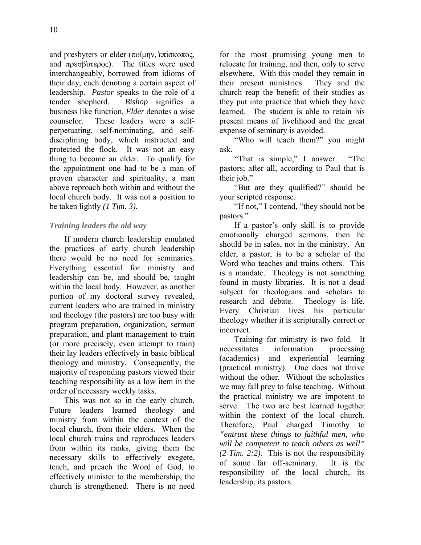and presbyters or elder (ποίμην, επίσκοπος, and  $\pi \rho \epsilon \sigma \beta \dot{\nu} \tau \epsilon \rho o \varsigma$ ). The titles were used interchangeably, borrowed from idioms of their day, each denoting a certain aspect of leadership. *Pastor* speaks to the role of a tender shepherd. *Bishop* signifies a business like function, *Elder* denotes a wise counselor. These leaders were a selfperpetuating, self-nominating, and selfdisciplining body, which instructed and protected the flock. It was not an easy thing to become an elder. To qualify for the appointment one had to be a man of

proven character and spirituality, a man above reproach both within and without the local church body. It was not a position to be taken lightly *(1 Tim. 3).* 

### *Training leaders the old way*

If modern church leadership emulated the practices of early church leadership there would be no need for seminaries. Everything essential for ministry and leadership can be, and should be, taught within the local body. However, as another portion of my doctoral survey revealed, current leaders who are trained in ministry and theology (the pastors) are too busy with program preparation, organization, sermon preparation, and plant management to train (or more precisely, even attempt to train) their lay leaders effectively in basic biblical theology and ministry. Consequently, the majority of responding pastors viewed their teaching responsibility as a low item in the order of necessary weekly tasks.

This was not so in the early church. Future leaders learned theology and ministry from within the context of the local church, from their elders. When the local church trains and reproduces leaders from within its ranks, giving them the necessary skills to effectively exegete, teach, and preach the Word of God, to effectively minister to the membership, the church is strengthened. There is no need for the most promising young men to relocate for training, and then, only to serve elsewhere. With this model they remain in their present ministries. They and the church reap the benefit of their studies as they put into practice that which they have learned. The student is able to retain his present means of livelihood and the great expense of seminary is avoided.

"Who will teach them?" you might ask.

"That is simple," I answer. "The pastors; after all, according to Paul that is their job."

"But are they qualified?" should be your scripted response.

"If not," I contend, "they should not be pastors."

If a pastor's only skill is to provide emotionally charged sermons, then he should be in sales, not in the ministry. An elder, a pastor, is to be a scholar of the Word who teaches and trains others. This is a mandate. Theology is not something found in musty libraries. It is not a dead subject for theologians and scholars to research and debate. Theology is life. Every Christian lives his particular theology whether it is scripturally correct or incorrect.

Training for ministry is two fold. It necessitates information processing (academics) and experiential learning (practical ministry). One does not thrive without the other. Without the scholastics we may fall prey to false teaching. Without the practical ministry we are impotent to serve. The two are best learned together within the context of the local church. Therefore, Paul charged Timothy to *"entrust these things to faithful men, who will be competent to teach others as well" (2 Tim. 2:2).* This is not the responsibility of some far off-seminary. It is the responsibility of the local church, its leadership, its pastors.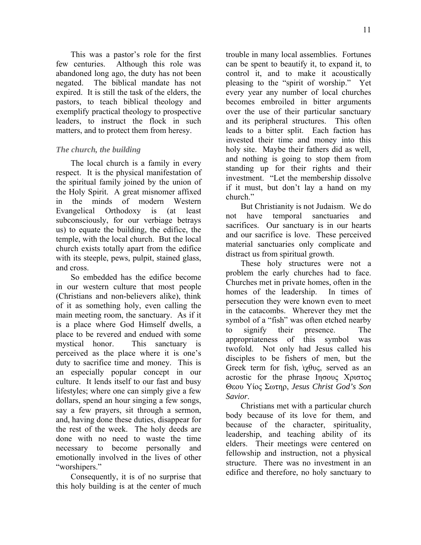This was a pastor's role for the first few centuries. Although this role was abandoned long ago, the duty has not been negated. The biblical mandate has not expired. It is still the task of the elders, the pastors, to teach biblical theology and exemplify practical theology to prospective leaders, to instruct the flock in such matters, and to protect them from heresy.

## *The church, the building*

The local church is a family in every respect. It is the physical manifestation of the spiritual family joined by the union of the Holy Spirit. A great misnomer affixed in the minds of modern Western Evangelical Orthodoxy is (at least subconsciously, for our verbiage betrays us) to equate the building, the edifice, the temple, with the local church. But the local church exists totally apart from the edifice with its steeple, pews, pulpit, stained glass, and cross.

So embedded has the edifice become in our western culture that most people (Christians and non-believers alike), think of it as something holy, even calling the main meeting room, the sanctuary. As if it is a place where God Himself dwells, a place to be revered and endued with some mystical honor. This sanctuary is perceived as the place where it is one's duty to sacrifice time and money. This is an especially popular concept in our culture. It lends itself to our fast and busy lifestyles; where one can simply give a few dollars, spend an hour singing a few songs, say a few prayers, sit through a sermon, and, having done these duties, disappear for the rest of the week. The holy deeds are done with no need to waste the time necessary to become personally and emotionally involved in the lives of other "worshipers."

Consequently, it is of no surprise that this holy building is at the center of much trouble in many local assemblies. Fortunes can be spent to beautify it, to expand it, to control it, and to make it acoustically pleasing to the "spirit of worship." Yet every year any number of local churches becomes embroiled in bitter arguments over the use of their particular sanctuary and its peripheral structures. This often leads to a bitter split. Each faction has invested their time and money into this holy site. Maybe their fathers did as well, and nothing is going to stop them from standing up for their rights and their investment. "Let the membership dissolve if it must, but don't lay a hand on my church."

But Christianity is not Judaism. We do not have temporal sanctuaries and sacrifices. Our sanctuary is in our hearts and our sacrifice is love. These perceived material sanctuaries only complicate and distract us from spiritual growth.

These holy structures were not a problem the early churches had to face. Churches met in private homes, often in the homes of the leadership. In times of persecution they were known even to meet in the catacombs. Wherever they met the symbol of a "fish" was often etched nearby to signify their presence. The appropriateness of this symbol was twofold. Not only had Jesus called his disciples to be fishers of men, but the Greek term for fish,  $\partial \chi \theta$ υς, served as an acrostic for the phrase Ιησους Χριστος Θεου Υίος Σωτηρ, *Jesus Christ God's Son Savior*.

Christians met with a particular church body because of its love for them, and because of the character, spirituality, leadership, and teaching ability of its elders. Their meetings were centered on fellowship and instruction, not a physical structure. There was no investment in an edifice and therefore, no holy sanctuary to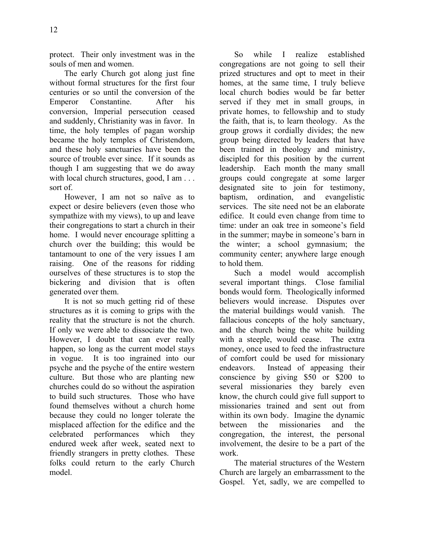protect. Their only investment was in the souls of men and women.

The early Church got along just fine without formal structures for the first four centuries or so until the conversion of the Emperor Constantine. After his conversion, Imperial persecution ceased and suddenly, Christianity was in favor. In time, the holy temples of pagan worship became the holy temples of Christendom, and these holy sanctuaries have been the source of trouble ever since. If it sounds as though I am suggesting that we do away with local church structures, good, I am . . . sort of.

However, I am not so naïve as to expect or desire believers (even those who sympathize with my views), to up and leave their congregations to start a church in their home. I would never encourage splitting a church over the building; this would be tantamount to one of the very issues I am raising. One of the reasons for ridding ourselves of these structures is to stop the bickering and division that is often generated over them.

It is not so much getting rid of these structures as it is coming to grips with the reality that the structure is not the church. If only we were able to dissociate the two. However, I doubt that can ever really happen, so long as the current model stays in vogue. It is too ingrained into our psyche and the psyche of the entire western culture. But those who are planting new churches could do so without the aspiration to build such structures. Those who have found themselves without a church home because they could no longer tolerate the misplaced affection for the edifice and the celebrated performances which they endured week after week, seated next to friendly strangers in pretty clothes. These folks could return to the early Church model.

So while I realize established congregations are not going to sell their prized structures and opt to meet in their homes, at the same time, I truly believe local church bodies would be far better served if they met in small groups, in private homes, to fellowship and to study the faith, that is, to learn theology. As the group grows it cordially divides; the new group being directed by leaders that have been trained in theology and ministry, discipled for this position by the current leadership. Each month the many small groups could congregate at some larger designated site to join for testimony, baptism, ordination, and evangelistic services. The site need not be an elaborate edifice. It could even change from time to time: under an oak tree in someone's field in the summer; maybe in someone's barn in the winter; a school gymnasium; the community center; anywhere large enough to hold them.

Such a model would accomplish several important things. Close familial bonds would form. Theologically informed believers would increase. Disputes over the material buildings would vanish. The fallacious concepts of the holy sanctuary, and the church being the white building with a steeple, would cease. The extra money, once used to feed the infrastructure of comfort could be used for missionary endeavors. Instead of appeasing their conscience by giving \$50 or \$200 to several missionaries they barely even know, the church could give full support to missionaries trained and sent out from within its own body. Imagine the dynamic between the missionaries and the congregation, the interest, the personal involvement, the desire to be a part of the work.

The material structures of the Western Church are largely an embarrassment to the Gospel. Yet, sadly, we are compelled to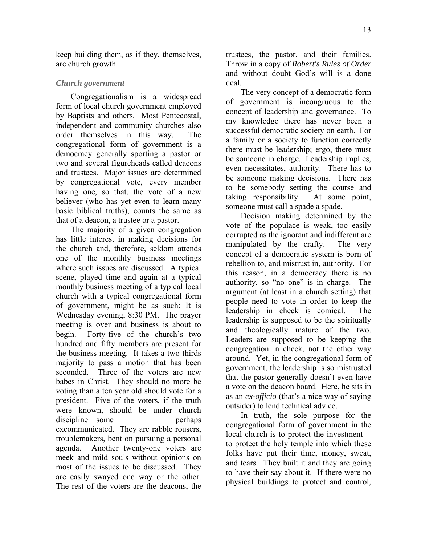keep building them, as if they, themselves, are church growth.

#### *Church government*

Congregationalism is a widespread form of local church government employed by Baptists and others. Most Pentecostal, independent and community churches also order themselves in this way. The congregational form of government is a democracy generally sporting a pastor or two and several figureheads called deacons and trustees. Major issues are determined by congregational vote, every member having one, so that, the vote of a new believer (who has yet even to learn many basic biblical truths), counts the same as that of a deacon, a trustee or a pastor.

The majority of a given congregation has little interest in making decisions for the church and, therefore, seldom attends one of the monthly business meetings where such issues are discussed. A typical scene, played time and again at a typical monthly business meeting of a typical local church with a typical congregational form of government, might be as such: It is Wednesday evening, 8:30 PM. The prayer meeting is over and business is about to begin. Forty-five of the church's two hundred and fifty members are present for the business meeting. It takes a two-thirds majority to pass a motion that has been seconded. Three of the voters are new babes in Christ. They should no more be voting than a ten year old should vote for a president. Five of the voters, if the truth were known, should be under church discipline—some perhaps excommunicated. They are rabble rousers, troublemakers, bent on pursuing a personal agenda. Another twenty-one voters are meek and mild souls without opinions on most of the issues to be discussed. They are easily swayed one way or the other. The rest of the voters are the deacons, the

trustees, the pastor, and their families. Throw in a copy of *Robert's Rules of Order* and without doubt God's will is a done deal.

The very concept of a democratic form of government is incongruous to the concept of leadership and governance. To my knowledge there has never been a successful democratic society on earth. For a family or a society to function correctly there must be leadership; ergo, there must be someone in charge. Leadership implies, even necessitates, authority. There has to be someone making decisions. There has to be somebody setting the course and taking responsibility. At some point, someone must call a spade a spade.

Decision making determined by the vote of the populace is weak, too easily corrupted as the ignorant and indifferent are manipulated by the crafty. The very concept of a democratic system is born of rebellion to, and mistrust in, authority. For this reason, in a democracy there is no authority, so "no one" is in charge. The argument (at least in a church setting) that people need to vote in order to keep the leadership in check is comical. The leadership is supposed to be the spiritually and theologically mature of the two. Leaders are supposed to be keeping the congregation in check, not the other way around. Yet, in the congregational form of government, the leadership is so mistrusted that the pastor generally doesn't even have a vote on the deacon board. Here, he sits in as an *ex-officio* (that's a nice way of saying outsider) to lend technical advice.

In truth, the sole purpose for the congregational form of government in the local church is to protect the investment to protect the holy temple into which these folks have put their time, money, sweat, and tears. They built it and they are going to have their say about it. If there were no physical buildings to protect and control,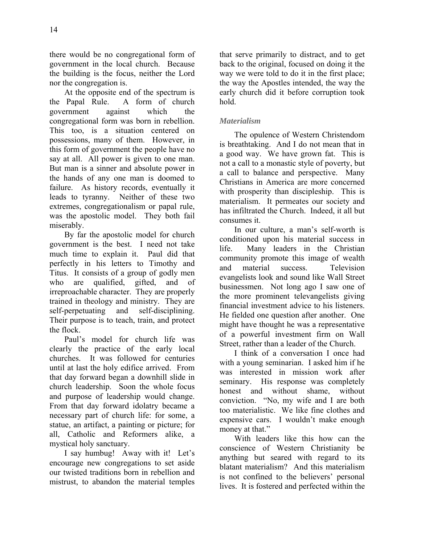there would be no congregational form of government in the local church. Because the building is the focus, neither the Lord nor the congregation is.

At the opposite end of the spectrum is the Papal Rule. A form of church government against which the congregational form was born in rebellion. This too, is a situation centered on possessions, many of them. However, in this form of government the people have no say at all. All power is given to one man. But man is a sinner and absolute power in the hands of any one man is doomed to failure. As history records, eventually it leads to tyranny. Neither of these two extremes, congregationalism or papal rule, was the apostolic model. They both fail miserably.

By far the apostolic model for church government is the best. I need not take much time to explain it. Paul did that perfectly in his letters to Timothy and Titus. It consists of a group of godly men who are qualified, gifted, and of irreproachable character. They are properly trained in theology and ministry. They are self-perpetuating and self-disciplining. Their purpose is to teach, train, and protect the flock.

Paul's model for church life was clearly the practice of the early local churches. It was followed for centuries until at last the holy edifice arrived. From that day forward began a downhill slide in church leadership. Soon the whole focus and purpose of leadership would change. From that day forward idolatry became a necessary part of church life: for some, a statue, an artifact, a painting or picture; for all, Catholic and Reformers alike, a mystical holy sanctuary.

I say humbug! Away with it! Let's encourage new congregations to set aside our twisted traditions born in rebellion and mistrust, to abandon the material temples that serve primarily to distract, and to get back to the original, focused on doing it the way we were told to do it in the first place; the way the Apostles intended, the way the early church did it before corruption took hold.

### *Materialism*

The opulence of Western Christendom is breathtaking. And I do not mean that in a good way. We have grown fat. This is not a call to a monastic style of poverty, but a call to balance and perspective. Many Christians in America are more concerned with prosperity than discipleship. This is materialism. It permeates our society and has infiltrated the Church. Indeed, it all but consumes it.

In our culture, a man's self-worth is conditioned upon his material success in life. Many leaders in the Christian community promote this image of wealth and material success. Television evangelists look and sound like Wall Street businessmen. Not long ago I saw one of the more prominent televangelists giving financial investment advice to his listeners. He fielded one question after another. One might have thought he was a representative of a powerful investment firm on Wall Street, rather than a leader of the Church.

I think of a conversation I once had with a young seminarian. I asked him if he was interested in mission work after seminary. His response was completely honest and without shame, without conviction. "No, my wife and I are both too materialistic. We like fine clothes and expensive cars. I wouldn't make enough money at that."

With leaders like this how can the conscience of Western Christianity be anything but seared with regard to its blatant materialism? And this materialism is not confined to the believers' personal lives. It is fostered and perfected within the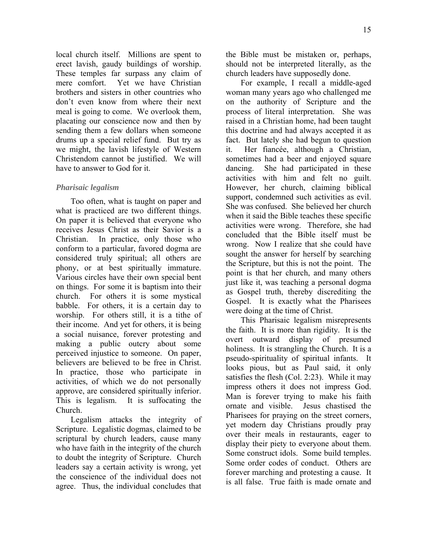local church itself. Millions are spent to erect lavish, gaudy buildings of worship. These temples far surpass any claim of mere comfort. Yet we have Christian brothers and sisters in other countries who don't even know from where their next meal is going to come. We overlook them, placating our conscience now and then by sending them a few dollars when someone drums up a special relief fund. But try as we might, the lavish lifestyle of Western Christendom cannot be justified. We will have to answer to God for it.

#### *Pharisaic legalism*

Too often, what is taught on paper and what is practiced are two different things. On paper it is believed that everyone who receives Jesus Christ as their Savior is a Christian. In practice, only those who conform to a particular, favored dogma are considered truly spiritual; all others are phony, or at best spiritually immature. Various circles have their own special bent on things. For some it is baptism into their church. For others it is some mystical babble. For others, it is a certain day to worship. For others still, it is a tithe of their income. And yet for others, it is being a social nuisance, forever protesting and making a public outcry about some perceived injustice to someone. On paper, believers are believed to be free in Christ. In practice, those who participate in activities, of which we do not personally approve, are considered spiritually inferior. This is legalism. It is suffocating the Church.

Legalism attacks the integrity of Scripture. Legalistic dogmas, claimed to be scriptural by church leaders, cause many who have faith in the integrity of the church to doubt the integrity of Scripture. Church leaders say a certain activity is wrong, yet the conscience of the individual does not agree. Thus, the individual concludes that

the Bible must be mistaken or, perhaps, should not be interpreted literally, as the church leaders have supposedly done.

For example, I recall a middle-aged woman many years ago who challenged me on the authority of Scripture and the process of literal interpretation. She was raised in a Christian home, had been taught this doctrine and had always accepted it as fact. But lately she had begun to question it. Her fiancée, although a Christian, sometimes had a beer and enjoyed square dancing. She had participated in these activities with him and felt no guilt. However, her church, claiming biblical support, condemned such activities as evil. She was confused. She believed her church when it said the Bible teaches these specific activities were wrong. Therefore, she had concluded that the Bible itself must be wrong. Now I realize that she could have sought the answer for herself by searching the Scripture, but this is not the point. The point is that her church, and many others just like it, was teaching a personal dogma as Gospel truth, thereby discrediting the Gospel. It is exactly what the Pharisees were doing at the time of Christ.

This Pharisaic legalism misrepresents the faith. It is more than rigidity. It is the overt outward display of presumed holiness. It is strangling the Church. It is a pseudo-spirituality of spiritual infants. It looks pious, but as Paul said, it only satisfies the flesh (Col. 2:23). While it may impress others it does not impress God. Man is forever trying to make his faith ornate and visible. Jesus chastised the Pharisees for praying on the street corners, yet modern day Christians proudly pray over their meals in restaurants, eager to display their piety to everyone about them. Some construct idols. Some build temples. Some order codes of conduct. Others are forever marching and protesting a cause. It is all false. True faith is made ornate and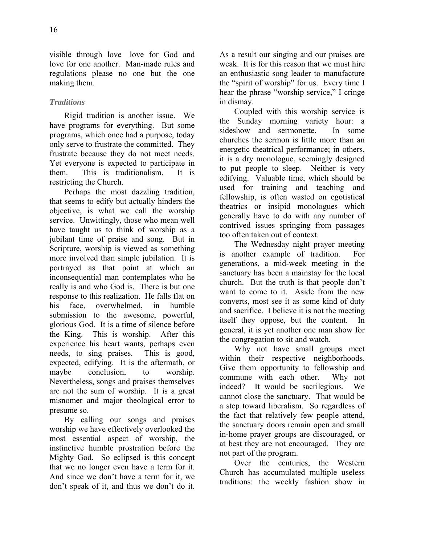visible through love—love for God and love for one another. Man-made rules and regulations please no one but the one making them.

### *Traditions*

Rigid tradition is another issue. We have programs for everything. But some programs, which once had a purpose, today only serve to frustrate the committed. They frustrate because they do not meet needs. Yet everyone is expected to participate in them. This is traditionalism. It is restricting the Church.

Perhaps the most dazzling tradition, that seems to edify but actually hinders the objective, is what we call the worship service. Unwittingly, those who mean well have taught us to think of worship as a jubilant time of praise and song. But in Scripture, worship is viewed as something more involved than simple jubilation. It is portrayed as that point at which an inconsequential man contemplates who he really is and who God is. There is but one response to this realization. He falls flat on his face, overwhelmed, in humble submission to the awesome, powerful, glorious God. It is a time of silence before the King. This is worship. After this experience his heart wants, perhaps even needs, to sing praises. This is good, expected, edifying. It is the aftermath, or maybe conclusion, to worship. Nevertheless, songs and praises themselves are not the sum of worship. It is a great misnomer and major theological error to presume so.

By calling our songs and praises worship we have effectively overlooked the most essential aspect of worship, the instinctive humble prostration before the Mighty God. So eclipsed is this concept that we no longer even have a term for it. And since we don't have a term for it, we don't speak of it, and thus we don't do it. As a result our singing and our praises are weak. It is for this reason that we must hire an enthusiastic song leader to manufacture the "spirit of worship" for us. Every time I hear the phrase "worship service," I cringe in dismay.

Coupled with this worship service is the Sunday morning variety hour: a sideshow and sermonette In some churches the sermon is little more than an energetic theatrical performance; in others, it is a dry monologue, seemingly designed to put people to sleep. Neither is very edifying. Valuable time, which should be used for training and teaching and fellowship, is often wasted on egotistical theatrics or insipid monologues which generally have to do with any number of contrived issues springing from passages too often taken out of context.

The Wednesday night prayer meeting is another example of tradition. For generations, a mid-week meeting in the sanctuary has been a mainstay for the local church. But the truth is that people don't want to come to it. Aside from the new converts, most see it as some kind of duty and sacrifice. I believe it is not the meeting itself they oppose, but the content. In general, it is yet another one man show for the congregation to sit and watch.

Why not have small groups meet within their respective neighborhoods. Give them opportunity to fellowship and commune with each other. Why not indeed? It would be sacrilegious. We cannot close the sanctuary. That would be a step toward liberalism. So regardless of the fact that relatively few people attend, the sanctuary doors remain open and small in-home prayer groups are discouraged, or at best they are not encouraged. They are not part of the program.

Over the centuries, the Western Church has accumulated multiple useless traditions: the weekly fashion show in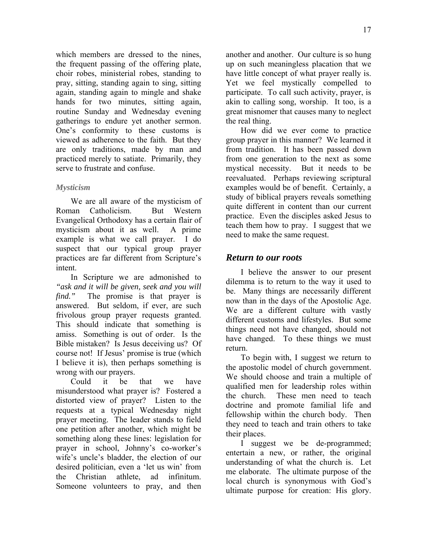which members are dressed to the nines, the frequent passing of the offering plate, choir robes, ministerial robes, standing to pray, sitting, standing again to sing, sitting again, standing again to mingle and shake hands for two minutes, sitting again, routine Sunday and Wednesday evening gatherings to endure yet another sermon. One's conformity to these customs is viewed as adherence to the faith. But they are only traditions, made by man and practiced merely to satiate. Primarily, they serve to frustrate and confuse.

### *Mysticism*

We are all aware of the mysticism of Roman Catholicism. But Western Evangelical Orthodoxy has a certain flair of mysticism about it as well. A prime example is what we call prayer. I do suspect that our typical group prayer practices are far different from Scripture's intent.

In Scripture we are admonished to *"ask and it will be given, seek and you will find.*" The promise is that prayer is answered. But seldom, if ever, are such frivolous group prayer requests granted. This should indicate that something is amiss. Something is out of order. Is the Bible mistaken? Is Jesus deceiving us? Of course not! If Jesus' promise is true (which I believe it is), then perhaps something is wrong with our prayers.

Could it be that we have misunderstood what prayer is? Fostered a distorted view of prayer? Listen to the requests at a typical Wednesday night prayer meeting. The leader stands to field one petition after another, which might be something along these lines: legislation for prayer in school, Johnny's co-worker's wife's uncle's bladder, the election of our desired politician, even a 'let us win' from the Christian athlete, ad infinitum. Someone volunteers to pray, and then another and another. Our culture is so hung up on such meaningless placation that we have little concept of what prayer really is. Yet we feel mystically compelled to participate. To call such activity, prayer, is akin to calling song, worship. It too, is a great misnomer that causes many to neglect the real thing.

How did we ever come to practice group prayer in this manner? We learned it from tradition. It has been passed down from one generation to the next as some mystical necessity. But it needs to be reevaluated. Perhaps reviewing scriptural examples would be of benefit. Certainly, a study of biblical prayers reveals something quite different in content than our current practice. Even the disciples asked Jesus to teach them how to pray. I suggest that we need to make the same request.

## *Return to our roots*

I believe the answer to our present dilemma is to return to the way it used to be. Many things are necessarily different now than in the days of the Apostolic Age. We are a different culture with vastly different customs and lifestyles. But some things need not have changed, should not have changed. To these things we must return.

To begin with, I suggest we return to the apostolic model of church government. We should choose and train a multiple of qualified men for leadership roles within the church. These men need to teach doctrine and promote familial life and fellowship within the church body. Then they need to teach and train others to take their places.

I suggest we be de-programmed; entertain a new, or rather, the original understanding of what the church is. Let me elaborate. The ultimate purpose of the local church is synonymous with God's ultimate purpose for creation: His glory.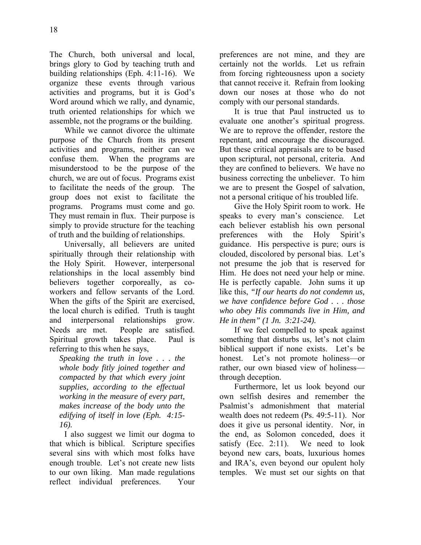The Church, both universal and local, brings glory to God by teaching truth and building relationships (Eph. 4:11-16). We organize these events through various activities and programs, but it is God's Word around which we rally, and dynamic, truth oriented relationships for which we assemble, not the programs or the building.

While we cannot divorce the ultimate purpose of the Church from its present activities and programs, neither can we confuse them. When the programs are misunderstood to be the purpose of the church, we are out of focus. Programs exist to facilitate the needs of the group. The group does not exist to facilitate the programs. Programs must come and go. They must remain in flux. Their purpose is simply to provide structure for the teaching of truth and the building of relationships.

Universally, all believers are united spiritually through their relationship with the Holy Spirit. However, interpersonal relationships in the local assembly bind believers together corporeally, as coworkers and fellow servants of the Lord. When the gifts of the Spirit are exercised, the local church is edified. Truth is taught and interpersonal relationships grow. Needs are met. People are satisfied. Spiritual growth takes place. Paul is referring to this when he says,

*Speaking the truth in love . . . the whole body fitly joined together and compacted by that which every joint supplies, according to the effectual working in the measure of every part, makes increase of the body unto the edifying of itself in love (Eph. 4:15- 16).*

I also suggest we limit our dogma to that which is biblical. Scripture specifies several sins with which most folks have enough trouble. Let's not create new lists to our own liking. Man made regulations reflect individual preferences. Your preferences are not mine, and they are certainly not the worlds. Let us refrain from forcing righteousness upon a society that cannot receive it. Refrain from looking down our noses at those who do not comply with our personal standards.

It is true that Paul instructed us to evaluate one another's spiritual progress. We are to reprove the offender, restore the repentant, and encourage the discouraged. But these critical appraisals are to be based upon scriptural, not personal, criteria. And they are confined to believers. We have no business correcting the unbeliever. To him we are to present the Gospel of salvation, not a personal critique of his troubled life.

Give the Holy Spirit room to work. He speaks to every man's conscience. Let each believer establish his own personal preferences with the Holy Spirit's guidance. His perspective is pure; ours is clouded, discolored by personal bias. Let's not presume the job that is reserved for Him. He does not need your help or mine. He is perfectly capable. John sums it up like this, *"If our hearts do not condemn us, we have confidence before God . . . those who obey His commands live in Him, and He in them" (1 Jn. 3:21-24).*

If we feel compelled to speak against something that disturbs us, let's not claim biblical support if none exists. Let's be honest. Let's not promote holiness—or rather, our own biased view of holiness through deception.

Furthermore, let us look beyond our own selfish desires and remember the Psalmist's admonishment that material wealth does not redeem (Ps. 49:5-11). Nor does it give us personal identity. Nor, in the end, as Solomon conceded, does it satisfy (Ecc. 2:11). We need to look beyond new cars, boats, luxurious homes and IRA's, even beyond our opulent holy temples. We must set our sights on that